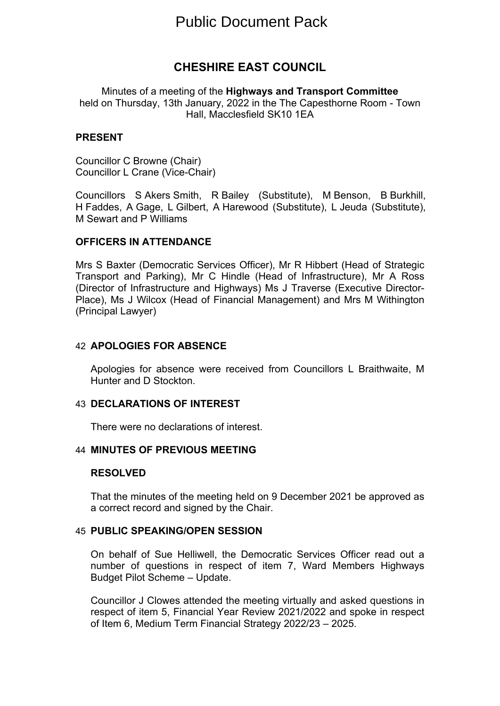# Public Document Pack

## **CHESHIRE EAST COUNCIL**

Minutes of a meeting of the **Highways and Transport Committee** held on Thursday, 13th January, 2022 in the The Capesthorne Room - Town Hall, Macclesfield SK10 1EA

## **PRESENT**

Councillor C Browne (Chair) Councillor L Crane (Vice-Chair)

Councillors S Akers Smith, R Bailey (Substitute), M Benson, B Burkhill, H Faddes, A Gage, L Gilbert, A Harewood (Substitute), L Jeuda (Substitute), M Sewart and P Williams

## **OFFICERS IN ATTENDANCE**

Mrs S Baxter (Democratic Services Officer), Mr R Hibbert (Head of Strategic Transport and Parking), Mr C Hindle (Head of Infrastructure), Mr A Ross (Director of Infrastructure and Highways) Ms J Traverse (Executive Director-Place), Ms J Wilcox (Head of Financial Management) and Mrs M Withington (Principal Lawyer)

#### 42 **APOLOGIES FOR ABSENCE**

Apologies for absence were received from Councillors L Braithwaite, M Hunter and D Stockton.

#### 43 **DECLARATIONS OF INTEREST**

There were no declarations of interest.

#### 44 **MINUTES OF PREVIOUS MEETING**

#### **RESOLVED**

That the minutes of the meeting held on 9 December 2021 be approved as a correct record and signed by the Chair.

## 45 **PUBLIC SPEAKING/OPEN SESSION**

On behalf of Sue Helliwell, the Democratic Services Officer read out a number of questions in respect of item 7, Ward Members Highways Budget Pilot Scheme – Update.

Councillor J Clowes attended the meeting virtually and asked questions in respect of item 5, Financial Year Review 2021/2022 and spoke in respect of Item 6, Medium Term Financial Strategy 2022/23 – 2025.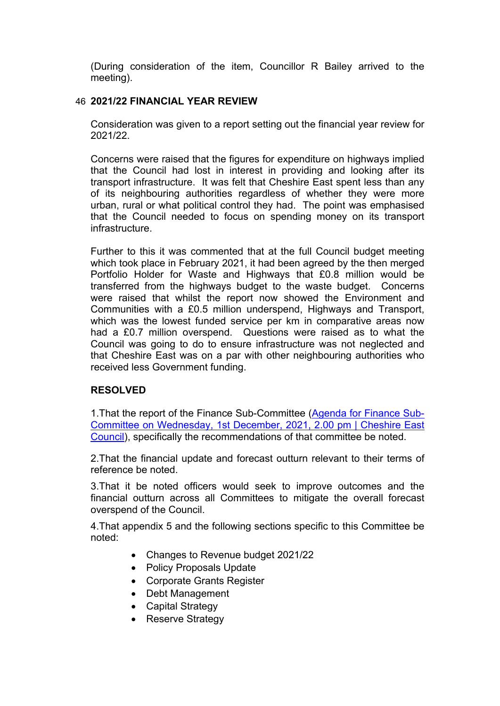(During consideration of the item, Councillor R Bailey arrived to the meeting).

## 46 **2021/22 FINANCIAL YEAR REVIEW**

Consideration was given to a report setting out the financial year review for 2021/22.

Concerns were raised that the figures for expenditure on highways implied that the Council had lost in interest in providing and looking after its transport infrastructure. It was felt that Cheshire East spent less than any of its neighbouring authorities regardless of whether they were more urban, rural or what political control they had. The point was emphasised that the Council needed to focus on spending money on its transport infrastructure.

Further to this it was commented that at the full Council budget meeting which took place in February 2021, it had been agreed by the then merged Portfolio Holder for Waste and Highways that £0.8 million would be transferred from the highways budget to the waste budget. Concerns were raised that whilst the report now showed the Environment and Communities with a £0.5 million underspend, Highways and Transport, which was the lowest funded service per km in comparative areas now had a £0.7 million overspend. Questions were raised as to what the Council was going to do to ensure infrastructure was not neglected and that Cheshire East was on a par with other neighbouring authorities who received less Government funding.

## **RESOLVED**

1.That the report of the Finance Sub-Committee (Agenda for [Finance](http://moderngov.cheshireeast.gov.uk/ecminutes/ieListDocuments.aspx?CId=965&MId=9031&Ver=4) Sub-Committee on [Wednesday,](http://moderngov.cheshireeast.gov.uk/ecminutes/ieListDocuments.aspx?CId=965&MId=9031&Ver=4) 1st December, 2021, 2.00 pm | Cheshire East [Council](http://moderngov.cheshireeast.gov.uk/ecminutes/ieListDocuments.aspx?CId=965&MId=9031&Ver=4)), specifically the recommendations of that committee be noted.

2.That the financial update and forecast outturn relevant to their terms of reference be noted.

3.That it be noted officers would seek to improve outcomes and the financial outturn across all Committees to mitigate the overall forecast overspend of the Council.

4.That appendix 5 and the following sections specific to this Committee be noted:

- Changes to Revenue budget 2021/22
- Policy Proposals Update
- Corporate Grants Register
- Debt Management
- Capital Strategy
- Reserve Strategy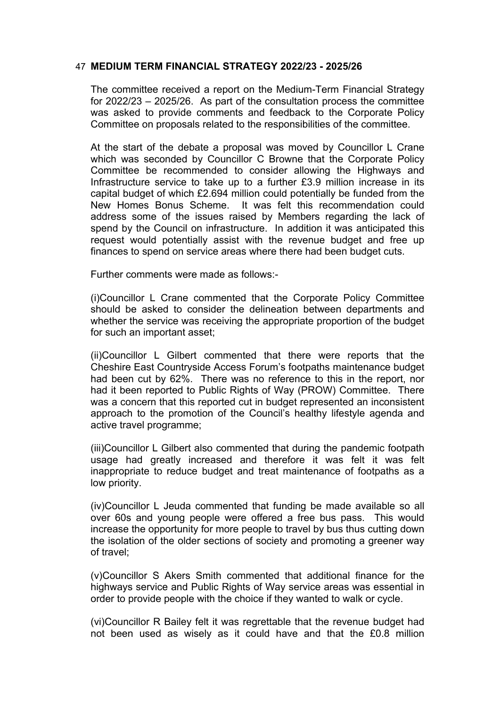## 47 **MEDIUM TERM FINANCIAL STRATEGY 2022/23 - 2025/26**

The committee received a report on the Medium-Term Financial Strategy for 2022/23 – 2025/26. As part of the consultation process the committee was asked to provide comments and feedback to the Corporate Policy Committee on proposals related to the responsibilities of the committee.

At the start of the debate a proposal was moved by Councillor L Crane which was seconded by Councillor C Browne that the Corporate Policy Committee be recommended to consider allowing the Highways and Infrastructure service to take up to a further £3.9 million increase in its capital budget of which £2.694 million could potentially be funded from the New Homes Bonus Scheme. It was felt this recommendation could address some of the issues raised by Members regarding the lack of spend by the Council on infrastructure. In addition it was anticipated this request would potentially assist with the revenue budget and free up finances to spend on service areas where there had been budget cuts.

Further comments were made as follows:-

(i)Councillor L Crane commented that the Corporate Policy Committee should be asked to consider the delineation between departments and whether the service was receiving the appropriate proportion of the budget for such an important asset;

(ii)Councillor L Gilbert commented that there were reports that the Cheshire East Countryside Access Forum's footpaths maintenance budget had been cut by 62%. There was no reference to this in the report, nor had it been reported to Public Rights of Way (PROW) Committee. There was a concern that this reported cut in budget represented an inconsistent approach to the promotion of the Council's healthy lifestyle agenda and active travel programme;

(iii)Councillor L Gilbert also commented that during the pandemic footpath usage had greatly increased and therefore it was felt it was felt inappropriate to reduce budget and treat maintenance of footpaths as a low priority.

(iv)Councillor L Jeuda commented that funding be made available so all over 60s and young people were offered a free bus pass. This would increase the opportunity for more people to travel by bus thus cutting down the isolation of the older sections of society and promoting a greener way of travel;

(v)Councillor S Akers Smith commented that additional finance for the highways service and Public Rights of Way service areas was essential in order to provide people with the choice if they wanted to walk or cycle.

(vi)Councillor R Bailey felt it was regrettable that the revenue budget had not been used as wisely as it could have and that the £0.8 million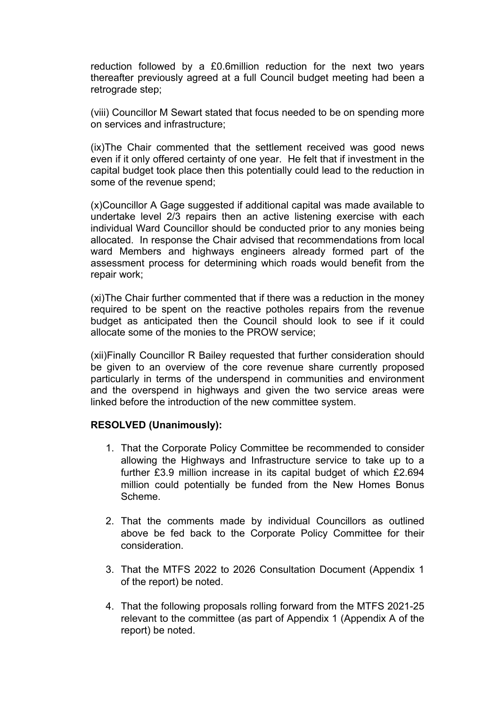reduction followed by a £0.6million reduction for the next two years thereafter previously agreed at a full Council budget meeting had been a retrograde step;

(viii) Councillor M Sewart stated that focus needed to be on spending more on services and infrastructure;

(ix)The Chair commented that the settlement received was good news even if it only offered certainty of one year. He felt that if investment in the capital budget took place then this potentially could lead to the reduction in some of the revenue spend;

(x)Councillor A Gage suggested if additional capital was made available to undertake level 2/3 repairs then an active listening exercise with each individual Ward Councillor should be conducted prior to any monies being allocated. In response the Chair advised that recommendations from local ward Members and highways engineers already formed part of the assessment process for determining which roads would benefit from the repair work;

(xi)The Chair further commented that if there was a reduction in the money required to be spent on the reactive potholes repairs from the revenue budget as anticipated then the Council should look to see if it could allocate some of the monies to the PROW service;

(xii)Finally Councillor R Bailey requested that further consideration should be given to an overview of the core revenue share currently proposed particularly in terms of the underspend in communities and environment and the overspend in highways and given the two service areas were linked before the introduction of the new committee system.

## **RESOLVED (Unanimously):**

- 1. That the Corporate Policy Committee be recommended to consider allowing the Highways and Infrastructure service to take up to a further £3.9 million increase in its capital budget of which £2.694 million could potentially be funded from the New Homes Bonus Scheme.
- 2. That the comments made by individual Councillors as outlined above be fed back to the Corporate Policy Committee for their consideration.
- 3. That the MTFS 2022 to 2026 Consultation Document (Appendix 1 of the report) be noted.
- 4. That the following proposals rolling forward from the MTFS 2021-25 relevant to the committee (as part of Appendix 1 (Appendix A of the report) be noted.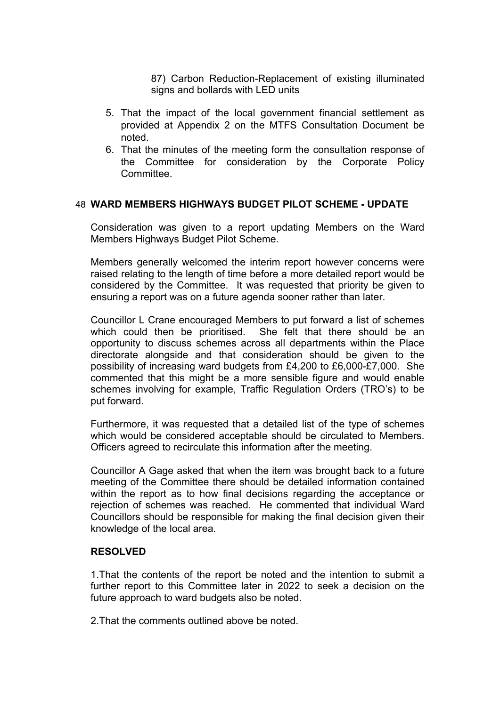87) Carbon Reduction-Replacement of existing illuminated signs and bollards with LED units

- 5. That the impact of the local government financial settlement as provided at Appendix 2 on the MTFS Consultation Document be noted.
- 6. That the minutes of the meeting form the consultation response of the Committee for consideration by the Corporate Policy **Committee.**

## 48 **WARD MEMBERS HIGHWAYS BUDGET PILOT SCHEME - UPDATE**

Consideration was given to a report updating Members on the Ward Members Highways Budget Pilot Scheme.

Members generally welcomed the interim report however concerns were raised relating to the length of time before a more detailed report would be considered by the Committee. It was requested that priority be given to ensuring a report was on a future agenda sooner rather than later.

Councillor L Crane encouraged Members to put forward a list of schemes which could then be prioritised. She felt that there should be an opportunity to discuss schemes across all departments within the Place directorate alongside and that consideration should be given to the possibility of increasing ward budgets from £4,200 to £6,000-£7,000. She commented that this might be a more sensible figure and would enable schemes involving for example, Traffic Regulation Orders (TRO's) to be put forward.

Furthermore, it was requested that a detailed list of the type of schemes which would be considered acceptable should be circulated to Members. Officers agreed to recirculate this information after the meeting.

Councillor A Gage asked that when the item was brought back to a future meeting of the Committee there should be detailed information contained within the report as to how final decisions regarding the acceptance or rejection of schemes was reached. He commented that individual Ward Councillors should be responsible for making the final decision given their knowledge of the local area.

#### **RESOLVED**

1.That the contents of the report be noted and the intention to submit a further report to this Committee later in 2022 to seek a decision on the future approach to ward budgets also be noted.

2.That the comments outlined above be noted.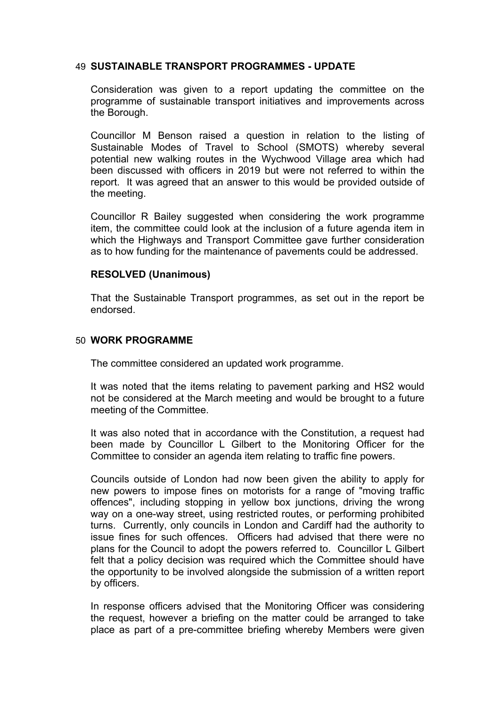## 49 **SUSTAINABLE TRANSPORT PROGRAMMES - UPDATE**

Consideration was given to a report updating the committee on the programme of sustainable transport initiatives and improvements across the Borough.

Councillor M Benson raised a question in relation to the listing of Sustainable Modes of Travel to School (SMOTS) whereby several potential new walking routes in the Wychwood Village area which had been discussed with officers in 2019 but were not referred to within the report. It was agreed that an answer to this would be provided outside of the meeting.

Councillor R Bailey suggested when considering the work programme item, the committee could look at the inclusion of a future agenda item in which the Highways and Transport Committee gave further consideration as to how funding for the maintenance of pavements could be addressed.

## **RESOLVED (Unanimous)**

That the Sustainable Transport programmes, as set out in the report be endorsed.

## 50 **WORK PROGRAMME**

The committee considered an updated work programme.

It was noted that the items relating to pavement parking and HS2 would not be considered at the March meeting and would be brought to a future meeting of the Committee.

It was also noted that in accordance with the Constitution, a request had been made by Councillor L Gilbert to the Monitoring Officer for the Committee to consider an agenda item relating to traffic fine powers.

Councils outside of London had now been given the ability to apply for new powers to impose fines on motorists for a range of "moving traffic offences", including stopping in yellow box junctions, driving the wrong way on a one-way street, using restricted routes, or performing prohibited turns. Currently, only councils in London and Cardiff had the authority to issue fines for such offences. Officers had advised that there were no plans for the Council to adopt the powers referred to. Councillor L Gilbert felt that a policy decision was required which the Committee should have the opportunity to be involved alongside the submission of a written report by officers.

In response officers advised that the Monitoring Officer was considering the request, however a briefing on the matter could be arranged to take place as part of a pre-committee briefing whereby Members were given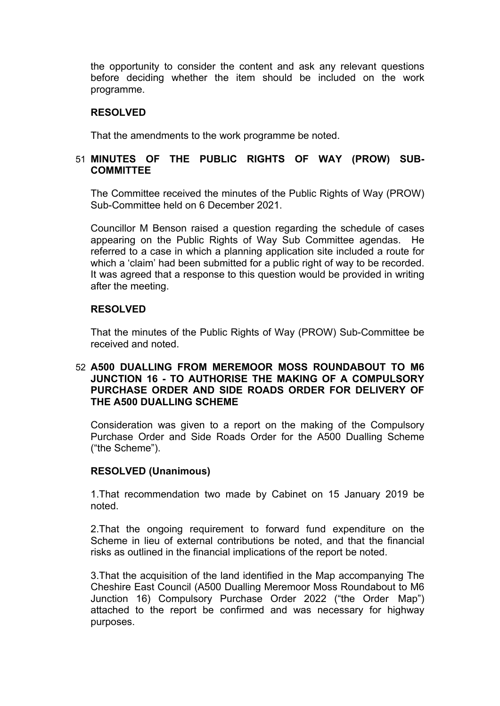the opportunity to consider the content and ask any relevant questions before deciding whether the item should be included on the work programme.

## **RESOLVED**

That the amendments to the work programme be noted.

## 51 **MINUTES OF THE PUBLIC RIGHTS OF WAY (PROW) SUB-COMMITTEE**

The Committee received the minutes of the Public Rights of Way (PROW) Sub-Committee held on 6 December 2021.

Councillor M Benson raised a question regarding the schedule of cases appearing on the Public Rights of Way Sub Committee agendas. He referred to a case in which a planning application site included a route for which a 'claim' had been submitted for a public right of way to be recorded. It was agreed that a response to this question would be provided in writing after the meeting.

## **RESOLVED**

That the minutes of the Public Rights of Way (PROW) Sub-Committee be received and noted.

## 52 **A500 DUALLING FROM MEREMOOR MOSS ROUNDABOUT TO M6 JUNCTION 16 - TO AUTHORISE THE MAKING OF A COMPULSORY PURCHASE ORDER AND SIDE ROADS ORDER FOR DELIVERY OF THE A500 DUALLING SCHEME**

Consideration was given to a report on the making of the Compulsory Purchase Order and Side Roads Order for the A500 Dualling Scheme ("the Scheme").

## **RESOLVED (Unanimous)**

1.That recommendation two made by Cabinet on 15 January 2019 be noted.

2.That the ongoing requirement to forward fund expenditure on the Scheme in lieu of external contributions be noted, and that the financial risks as outlined in the financial implications of the report be noted.

3.That the acquisition of the land identified in the Map accompanying The Cheshire East Council (A500 Dualling Meremoor Moss Roundabout to M6 Junction 16) Compulsory Purchase Order 2022 ("the Order Map") attached to the report be confirmed and was necessary for highway purposes.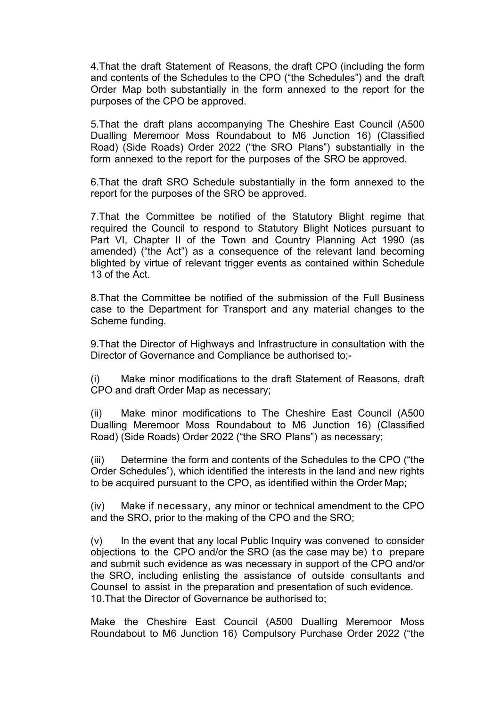4.That the draft Statement of Reasons, the draft CPO (including the form and contents of the Schedules to the CPO ("the Schedules") and the draft Order Map both substantially in the form annexed to the report for the purposes of the CPO be approved.

5.That the draft plans accompanying The Cheshire East Council (A500 Dualling Meremoor Moss Roundabout to M6 Junction 16) (Classified Road) (Side Roads) Order 2022 ("the SRO Plans") substantially in the form annexed to the report for the purposes of the SRO be approved.

6.That the draft SRO Schedule substantially in the form annexed to the report for the purposes of the SRO be approved.

7.That the Committee be notified of the Statutory Blight regime that required the Council to respond to Statutory Blight Notices pursuant to Part VI, Chapter II of the Town and Country Planning Act 1990 (as amended) ("the Act") as a consequence of the relevant land becoming blighted by virtue of relevant trigger events as contained within Schedule 13 of the Act.

8.That the Committee be notified of the submission of the Full Business case to the Department for Transport and any material changes to the Scheme funding.

9.That the Director of Highways and Infrastructure in consultation with the Director of Governance and Compliance be authorised to;-

(i) Make minor modifications to the draft Statement of Reasons, draft CPO and draft Order Map as necessary;

(ii) Make minor modifications to The Cheshire East Council (A500 Dualling Meremoor Moss Roundabout to M6 Junction 16) (Classified Road) (Side Roads) Order 2022 ("the SRO Plans") as necessary;

(iii) Determine the form and contents of the Schedules to the CPO ("the Order Schedules"), which identified the interests in the land and new rights to be acquired pursuant to the CPO, as identified within the Order Map;

(iv) Make if necessary, any minor or technical amendment to the CPO and the SRO, prior to the making of the CPO and the SRO;

(v) In the event that any local Public Inquiry was convened to consider objections to the CPO and/or the SRO (as the case may be) to prepare and submit such evidence as was necessary in support of the CPO and/or the SRO, including enlisting the assistance of outside consultants and Counsel to assist in the preparation and presentation of such evidence. 10.That the Director of Governance be authorised to;

Make the Cheshire East Council (A500 Dualling Meremoor Moss Roundabout to M6 Junction 16) Compulsory Purchase Order 2022 ("the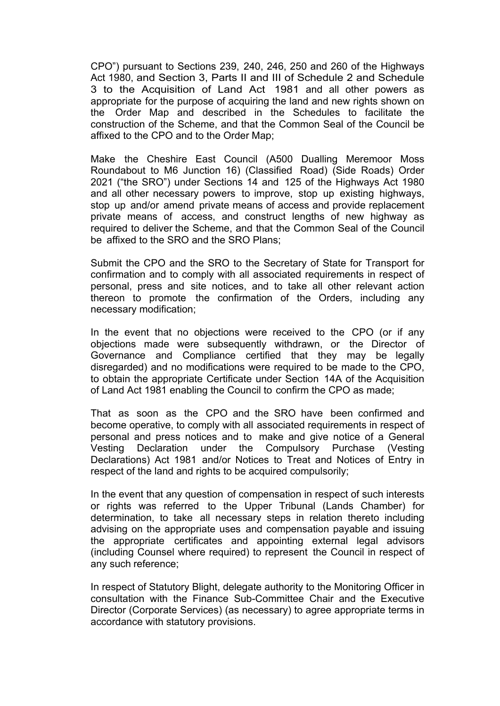CPO") pursuant to Sections 239, 240, 246, 250 and 260 of the Highways Act 1980, and Section 3, Parts II and III of Schedule 2 and Schedule 3 to the Acquisition of Land Act 1981 and all other powers as appropriate for the purpose of acquiring the land and new rights shown on the Order Map and described in the Schedules to facilitate the construction of the Scheme, and that the Common Seal of the Council be affixed to the CPO and to the Order Map;

Make the Cheshire East Council (A500 Dualling Meremoor Moss Roundabout to M6 Junction 16) (Classified Road) (Side Roads) Order 2021 ("the SRO") under Sections 14 and 125 of the Highways Act 1980 and all other necessary powers to improve, stop up existing highways, stop up and/or amend private means of access and provide replacement private means of access, and construct lengths of new highway as required to deliver the Scheme, and that the Common Seal of the Council be affixed to the SRO and the SRO Plans;

Submit the CPO and the SRO to the Secretary of State for Transport for confirmation and to comply with all associated requirements in respect of personal, press and site notices, and to take all other relevant action thereon to promote the confirmation of the Orders, including any necessary modification;

In the event that no objections were received to the CPO (or if any objections made were subsequently withdrawn, or the Director of Governance and Compliance certified that they may be legally disregarded) and no modifications were required to be made to the CPO, to obtain the appropriate Certificate under Section 14A of the Acquisition of Land Act 1981 enabling the Council to confirm the CPO as made;

That as soon as the CPO and the SRO have been confirmed and become operative, to comply with all associated requirements in respect of personal and press notices and to make and give notice of a General Vesting Declaration under the Compulsory Purchase (Vesting Declarations) Act 1981 and/or Notices to Treat and Notices of Entry in respect of the land and rights to be acquired compulsorily;

In the event that any question of compensation in respect of such interests or rights was referred to the Upper Tribunal (Lands Chamber) for determination, to take all necessary steps in relation thereto including advising on the appropriate uses and compensation payable and issuing the appropriate certificates and appointing external legal advisors (including Counsel where required) to represent the Council in respect of any such reference;

In respect of Statutory Blight, delegate authority to the Monitoring Officer in consultation with the Finance Sub-Committee Chair and the Executive Director (Corporate Services) (as necessary) to agree appropriate terms in accordance with statutory provisions.